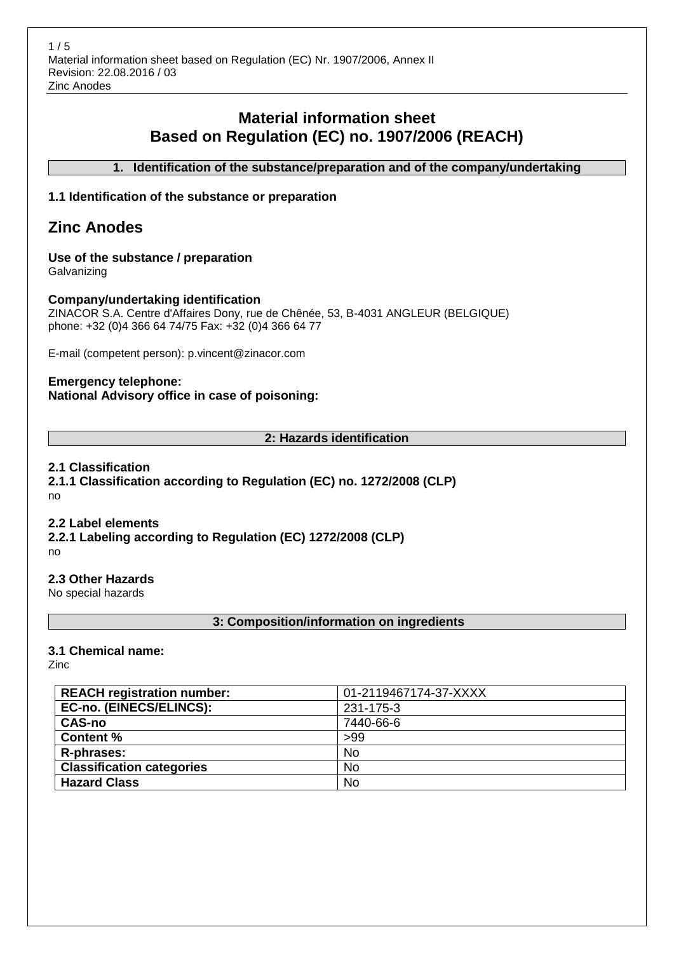# **Material information sheet Based on Regulation (EC) no. 1907/2006 (REACH)**

**1. Identification of the substance/preparation and of the company/undertaking**

#### **1.1 Identification of the substance or preparation**

# **Zinc Anodes**

# **Use of the substance / preparation**

**Galvanizing** 

#### **Company/undertaking identification**

ZINACOR S.A. Centre d'Affaires Dony, rue de Chênée, 53, B-4031 ANGLEUR (BELGIQUE) phone: +32 (0)4 366 64 74/75 Fax: +32 (0)4 366 64 77

E-mail (competent person): p.vincent@zinacor.com

#### **Emergency telephone: National Advisory office in case of poisoning:**

#### **2: Hazards identification**

#### **2.1 Classification**

**2.1.1 Classification according to Regulation (EC) no. 1272/2008 (CLP)** no

#### **2.2 Label elements**

**2.2.1 Labeling according to Regulation (EC) 1272/2008 (CLP)** no

**2.3 Other Hazards**

No special hazards

#### **3: Composition/information on ingredients**

#### **3.1 Chemical name:**

Zinc

| <b>REACH registration number:</b> | 01-2119467174-37-XXXX |
|-----------------------------------|-----------------------|
| <b>EC-no. (EINECS/ELINCS):</b>    | 231-175-3             |
| <b>CAS-no</b>                     | 7440-66-6             |
| <b>Content %</b>                  | >99                   |
| R-phrases:                        | <b>No</b>             |
| <b>Classification categories</b>  | <b>No</b>             |
| <b>Hazard Class</b>               | <b>No</b>             |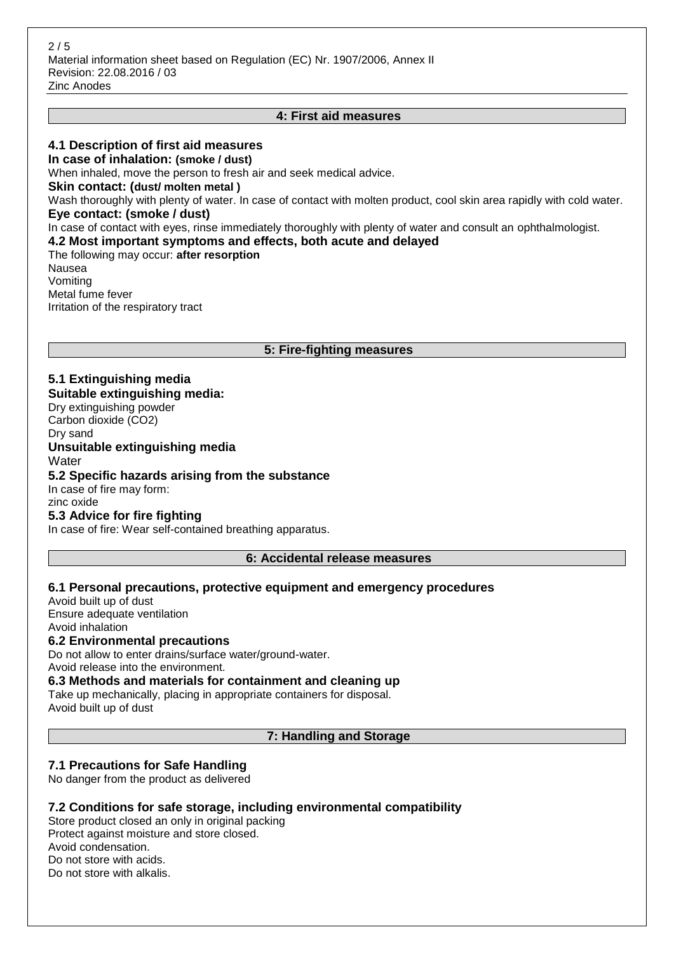#### **4: First aid measures**

#### **4.1 Description of first aid measures**

**In case of inhalation: (smoke / dust)** When inhaled, move the person to fresh air and seek medical advice. **Skin contact: (dust/ molten metal )** Wash thoroughly with plenty of water. In case of contact with molten product, cool skin area rapidly with cold water. **Eye contact: (smoke / dust)** In case of contact with eyes, rinse immediately thoroughly with plenty of water and consult an ophthalmologist. **4.2 Most important symptoms and effects, both acute and delayed** The following may occur: **after resorption** Nausea Vomiting Metal fume fever Irritation of the respiratory tract

#### **5: Fire-fighting measures**

### **5.1 Extinguishing media**

**Suitable extinguishing media:**

Dry extinguishing powder Carbon dioxide (CO2) Dry sand **Unsuitable extinguishing media Water 5.2 Specific hazards arising from the substance** In case of fire may form: zinc oxide **5.3 Advice for fire fighting**

In case of fire: Wear self-contained breathing apparatus.

#### **6: Accidental release measures**

#### **6.1 Personal precautions, protective equipment and emergency procedures**

Avoid built up of dust Ensure adequate ventilation Avoid inhalation **6.2 Environmental precautions** Do not allow to enter drains/surface water/ground-water.

Avoid release into the environment.

**6.3 Methods and materials for containment and cleaning up**

Take up mechanically, placing in appropriate containers for disposal. Avoid built up of dust

**7: Handling and Storage**

#### **7.1 Precautions for Safe Handling**

No danger from the product as delivered

#### **7.2 Conditions for safe storage, including environmental compatibility**

Store product closed an only in original packing Protect against moisture and store closed. Avoid condensation. Do not store with acids. Do not store with alkalis.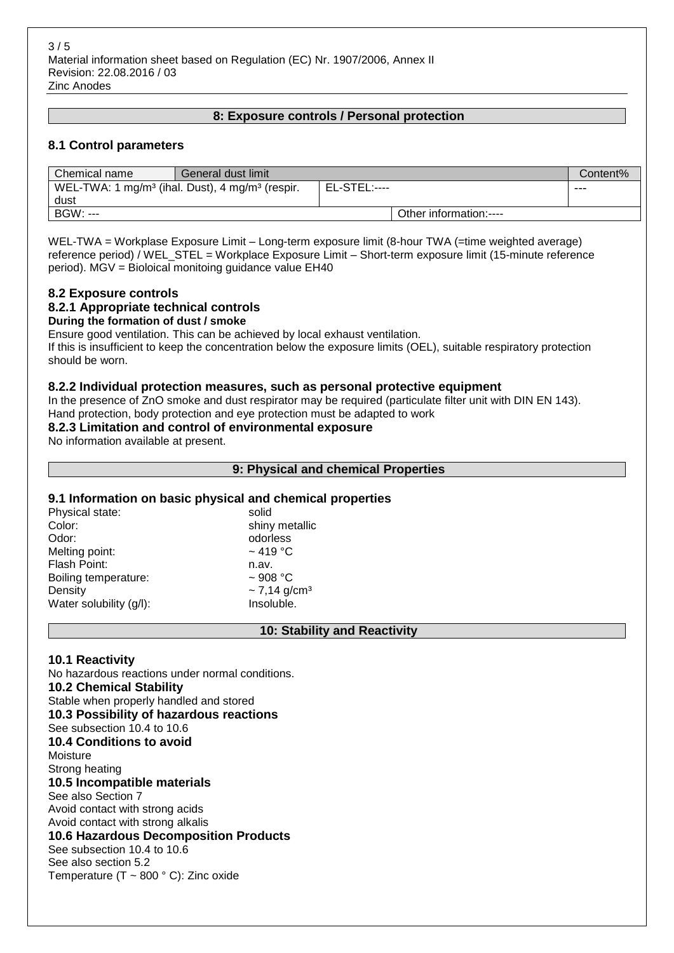#### **8: Exposure controls / Personal protection**

#### **8.1 Control parameters**

| Chemical name                                                           | General dust limit |              |                        | Content% |
|-------------------------------------------------------------------------|--------------------|--------------|------------------------|----------|
| WEL-TWA: 1 mg/m <sup>3</sup> (ihal. Dust), 4 mg/m <sup>3</sup> (respir. |                    | EL-STEL:---- |                        | ---      |
| dust                                                                    |                    |              |                        |          |
| BGW: ---                                                                |                    |              | Other information:---- |          |

WEL-TWA = Workplase Exposure Limit – Long-term exposure limit (8-hour TWA (=time weighted average) reference period) / WEL\_STEL = Workplace Exposure Limit – Short-term exposure limit (15-minute reference period). MGV = Bioloical monitoing guidance value EH40

#### **8.2 Exposure controls**

#### **8.2.1 Appropriate technical controls**

#### **During the formation of dust / smoke**

Ensure good ventilation. This can be achieved by local exhaust ventilation.

If this is insufficient to keep the concentration below the exposure limits (OEL), suitable respiratory protection should be worn.

#### **8.2.2 Individual protection measures, such as personal protective equipment**

In the presence of ZnO smoke and dust respirator may be required (particulate filter unit with DIN EN 143). Hand protection, body protection and eye protection must be adapted to work

#### **8.2.3 Limitation and control of environmental exposure**

No information available at present.

#### **9: Physical and chemical Properties**

#### **9.1 Information on basic physical and chemical properties**

| Physical state:         | solid                         |
|-------------------------|-------------------------------|
| Color:                  | shiny metallic                |
| Odor:                   | odorless                      |
| Melting point:          | $~1419~^{\circ}$ C            |
| Flash Point:            | n.av.                         |
| Boiling temperature:    | $~1$ 908 °C                   |
| Density                 | $\sim$ 7,14 g/cm <sup>3</sup> |
| Water solubility (g/l): | Insoluble.                    |
|                         |                               |

#### **10: Stability and Reactivity**

#### **10.1 Reactivity**

No hazardous reactions under normal conditions. **10.2 Chemical Stability** Stable when properly handled and stored **10.3 Possibility of hazardous reactions** See subsection 10.4 to 10.6 **10.4 Conditions to avoid** Moisture Strong heating **10.5 Incompatible materials** See also Section 7 Avoid contact with strong acids Avoid contact with strong alkalis **10.6 Hazardous Decomposition Products** See subsection 10.4 to 10.6 See also section 5.2 Temperature (T ~ 800 ° C): Zinc oxide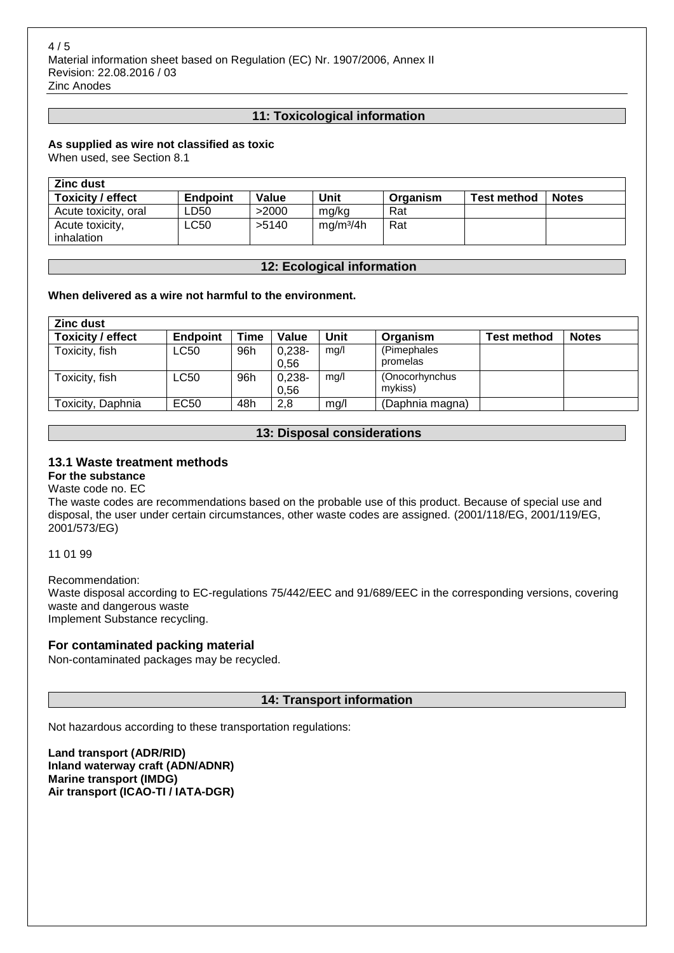#### **11: Toxicological information**

#### **As supplied as wire not classified as toxic**

When used, see Section 8.1

| <b>Zinc dust</b>         |          |       |                       |          |                    |              |
|--------------------------|----------|-------|-----------------------|----------|--------------------|--------------|
| <b>Toxicity / effect</b> | Endpoint | Value | Unit                  | Organism | <b>Test method</b> | <b>Notes</b> |
| Acute toxicity, oral     | LD50     | >2000 | mg/kg                 | Rat      |                    |              |
| Acute toxicity,          | ∟C50     | >5140 | ma/m <sup>3</sup> /4h | Rat      |                    |              |
| inhalation               |          |       |                       |          |                    |              |

#### **12: Ecological information**

#### **When delivered as a wire not harmful to the environment.**

| <b>Zinc dust</b>  |          |      |                  |      |                           |                    |              |
|-------------------|----------|------|------------------|------|---------------------------|--------------------|--------------|
| Toxicity / effect | Endpoint | Time | Value            | Unit | Organism                  | <b>Test method</b> | <b>Notes</b> |
| Toxicity, fish    | LC50     | 96h  | $0,238-$<br>0.56 | mq/l | (Pimephales<br>promelas   |                    |              |
| Toxicity, fish    | LC50     | 96h  | $0,238-$<br>0,56 | mg/l | (Onocorhynchus<br>mykiss) |                    |              |
| Toxicity, Daphnia | EC50     | 48h  | 2,8              | mg/l | (Daphnia magna)           |                    |              |

#### **13: Disposal considerations**

#### **13.1 Waste treatment methods**

## **For the substance**

Waste code no. EC The waste codes are recommendations based on the probable use of this product. Because of special use and disposal, the user under certain circumstances, other waste codes are assigned. (2001/118/EG, 2001/119/EG, 2001/573/EG)

11 01 99

Recommendation:

Waste disposal according to EC-regulations 75/442/EEC and 91/689/EEC in the corresponding versions, covering waste and dangerous waste Implement Substance recycling.

#### **For contaminated packing material**

Non-contaminated packages may be recycled.

#### **14: Transport information**

Not hazardous according to these transportation regulations:

**Land transport (ADR/RID) Inland waterway craft (ADN/ADNR) Marine transport (IMDG) Air transport (ICAO-TI / IATA-DGR)**